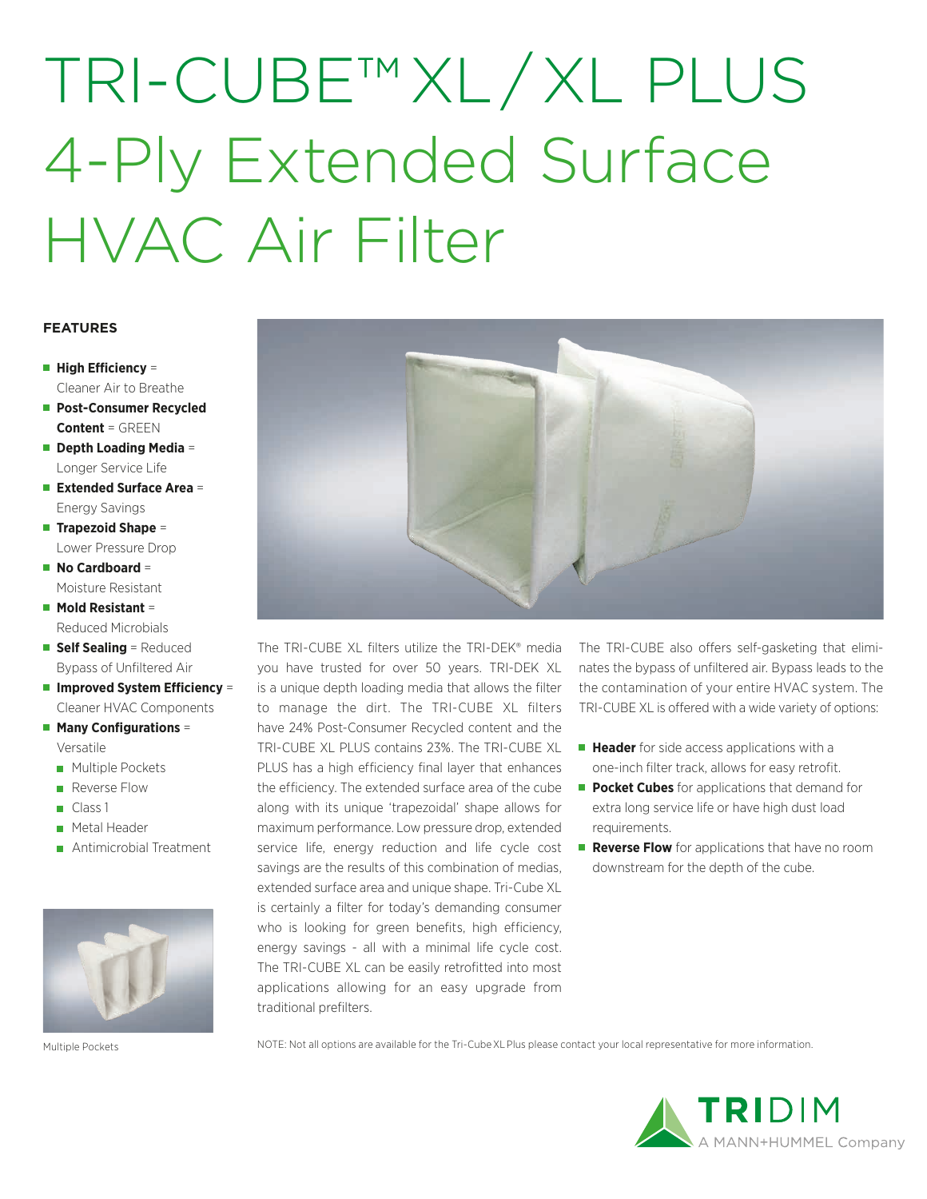## TRI-CUBE™ XL / XL PLUS 4-Ply Extended Surface HVAC Air Filter

### **FEATURES**

- **High Efficiency =** Cleaner Air to Breathe
- **Post-Consumer Recycled Content** = GREEN
- **Depth Loading Media** = Longer Service Life
- **Extended Surface Area** = Energy Savings
- **Trapezoid Shape** = Lower Pressure Drop
- No Cardboard = Moisture Resistant
- **Mold Resistant** = Reduced Microbials
- **Self Sealing = Reduced** Bypass of Unfiltered Air
- **Improved System Efficiency** = Cleaner HVAC Components
- Many Configurations = Versatile
	- **Multiple Pockets**
	- Reverse Flow
	- $\Box$  Class 1
	- **Metal Header**
	- Antimicrobial Treatment



Multiple Pockets **NOTE:** Not all options are available for the Tri-Cube XL Plus please contact your local representative for more information.



The TRI-CUBE XL filters utilize the TRI-DEK® media you have trusted for over 50 years. TRI-DEK XL is a unique depth loading media that allows the filter to manage the dirt. The TRI-CUBE XL filters have 24% Post-Consumer Recycled content and the TRI-CUBE XL PLUS contains 23%. The TRI-CUBE XL PLUS has a high efficiency final layer that enhances the efficiency. The extended surface area of the cube along with its unique 'trapezoidal' shape allows for maximum performance. Low pressure drop, extended service life, energy reduction and life cycle cost savings are the results of this combination of medias, extended surface area and unique shape. Tri-Cube XL is certainly a filter for today's demanding consumer who is looking for green benefits, high efficiency, energy savings - all with a minimal life cycle cost. The TRI-CUBE XL can be easily retrofitted into most applications allowing for an easy upgrade from traditional prefilters.

The TRI-CUBE also offers self-gasketing that eliminates the bypass of unfiltered air. Bypass leads to the the contamination of your entire HVAC system. The TRI-CUBE XL is offered with a wide variety of options:

- **Header** for side access applications with a one-inch filter track, allows for easy retrofit.
- **Pocket Cubes** for applications that demand for extra long service life or have high dust load requirements.
- **Reverse Flow** for applications that have no room downstream for the depth of the cube.